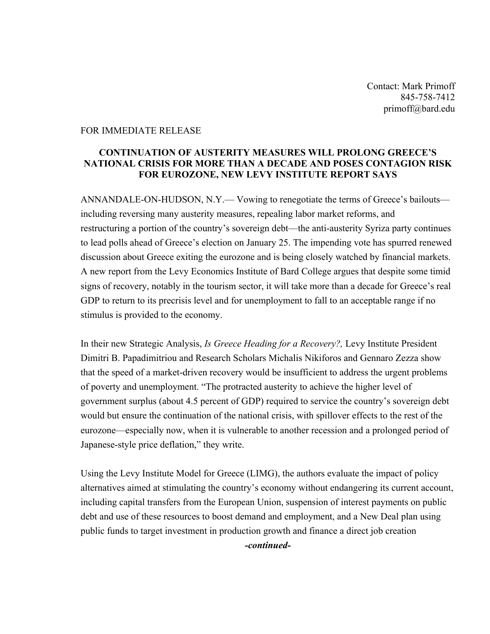Contact: Mark Primoff 845-758-7412 primoff@bard.edu

## FOR IMMEDIATE RELEASE

## **CONTINUATION OF AUSTERITY MEASURES WILL PROLONG GREECE'S NATIONAL CRISIS FOR MORE THAN A DECADE AND POSES CONTAGION RISK FOR EUROZONE, NEW LEVY INSTITUTE REPORT SAYS**

ANNANDALE-ON-HUDSON, N.Y.— Vowing to renegotiate the terms of Greece's bailouts including reversing many austerity measures, repealing labor market reforms, and restructuring a portion of the country's sovereign debt—the anti-austerity Syriza party continues to lead polls ahead of Greece's election on January 25. The impending vote has spurred renewed discussion about Greece exiting the eurozone and is being closely watched by financial markets. A new report from the Levy Economics Institute of Bard College argues that despite some timid signs of recovery, notably in the tourism sector, it will take more than a decade for Greece's real GDP to return to its precrisis level and for unemployment to fall to an acceptable range if no stimulus is provided to the economy.

In their new Strategic Analysis, *Is Greece Heading for a Recovery?,* Levy Institute President Dimitri B. Papadimitriou and Research Scholars Michalis Nikiforos and Gennaro Zezza show that the speed of a market-driven recovery would be insufficient to address the urgent problems of poverty and unemployment. "The protracted austerity to achieve the higher level of government surplus (about 4.5 percent of GDP) required to service the country's sovereign debt would but ensure the continuation of the national crisis, with spillover effects to the rest of the eurozone—especially now, when it is vulnerable to another recession and a prolonged period of Japanese-style price deflation," they write.

Using the Levy Institute Model for Greece (LIMG), the authors evaluate the impact of policy alternatives aimed at stimulating the country's economy without endangering its current account, including capital transfers from the European Union, suspension of interest payments on public debt and use of these resources to boost demand and employment, and a New Deal plan using public funds to target investment in production growth and finance a direct job creation

*-continued-*